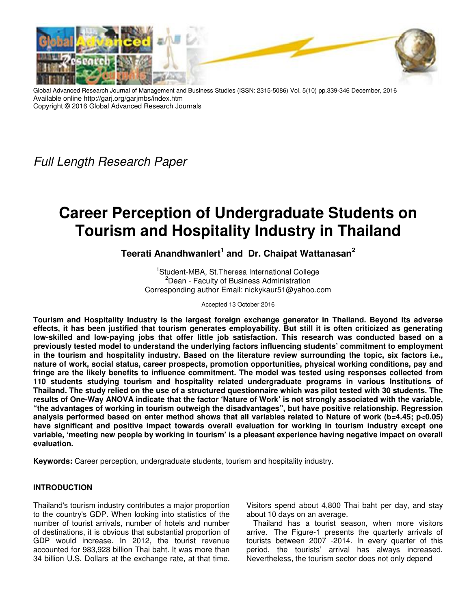

Global Advanced Research Journal of Management and Business Studies (ISSN: 2315-5086) Vol. 5(10) pp.339-346 December, 2016 Available online http://garj.org/garjmbs/index.htm Copyright © 2016 Global Advanced Research Journals

Full Length Research Paper

# **Career Perception of Undergraduate Students on Tourism and Hospitality Industry in Thailand**

# **Teerati Anandhwanlert<sup>1</sup> and Dr. Chaipat Wattanasan<sup>2</sup>**

<sup>1</sup>Student-MBA, St.Theresa International College <sup>2</sup>Dean - Faculty of Business Administration Corresponding author Email: nickykaur51@yahoo.com

Accepted 13 October 2016

**Tourism and Hospitality Industry is the largest foreign exchange generator in Thailand. Beyond its adverse effects, it has been justified that tourism generates employability. But still it is often criticized as generating low-skilled and low-paying jobs that offer little job satisfaction. This research was conducted based on a previously tested model to understand the underlying factors influencing students' commitment to employment in the tourism and hospitality industry. Based on the literature review surrounding the topic, six factors i.e., nature of work, social status, career prospects, promotion opportunities, physical working conditions, pay and fringe are the likely benefits to influence commitment. The model was tested using responses collected from 110 students studying tourism and hospitality related undergraduate programs in various Institutions of Thailand. The study relied on the use of a structured questionnaire which was pilot tested with 30 students. The results of One-Way ANOVA indicate that the factor 'Nature of Work' is not strongly associated with the variable, "the advantages of working in tourism outweigh the disadvantages", but have positive relationship. Regression analysis performed based on enter method shows that all variables related to Nature of work (b=4.45; p<0.05) have significant and positive impact towards overall evaluation for working in tourism industry except one variable, 'meeting new people by working in tourism' is a pleasant experience having negative impact on overall evaluation.** 

**Keywords:** Career perception, undergraduate students, tourism and hospitality industry.

# **INTRODUCTION**

Thailand's tourism industry contributes a major proportion to the country's GDP. When looking into statistics of the number of tourist arrivals, number of hotels and number of destinations, it is obvious that substantial proportion of GDP would increase. In 2012, the tourist revenue accounted for 983,928 billion Thai baht. It was more than 34 billion U.S. Dollars at the exchange rate, at that time.

Visitors spend about 4,800 Thai baht per day, and stay about 10 days on an average.

Thailand has a tourist season, when more visitors arrive. The Figure-1 presents the quarterly arrivals of tourists between 2007 -2014. In every quarter of this period, the tourists' arrival has always increased. Nevertheless, the tourism sector does not only depend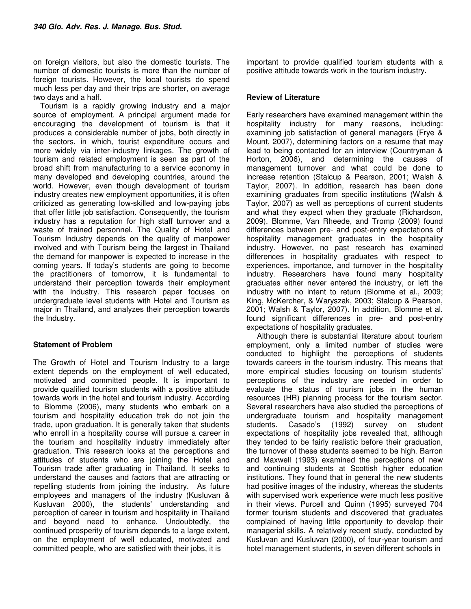on foreign visitors, but also the domestic tourists. The number of domestic tourists is more than the number of foreign tourists. However, the local tourists do spend much less per day and their trips are shorter, on average two days and a half.

Tourism is a rapidly growing industry and a major source of employment. A principal argument made for encouraging the development of tourism is that it produces a considerable number of jobs, both directly in the sectors, in which, tourist expenditure occurs and more widely via inter-industry linkages. The growth of tourism and related employment is seen as part of the broad shift from manufacturing to a service economy in many developed and developing countries, around the world. However, even though development of tourism industry creates new employment opportunities, it is often criticized as generating low-skilled and low-paying jobs that offer little job satisfaction. Consequently, the tourism industry has a reputation for high staff turnover and a waste of trained personnel. The Quality of Hotel and Tourism Industry depends on the quality of manpower involved and with Tourism being the largest in Thailand the demand for manpower is expected to increase in the coming years. If today's students are going to become the practitioners of tomorrow, it is fundamental to understand their perception towards their employment with the Industry. This research paper focuses on undergraduate level students with Hotel and Tourism as major in Thailand, and analyzes their perception towards the Industry.

# **Statement of Problem**

The Growth of Hotel and Tourism Industry to a large extent depends on the employment of well educated, motivated and committed people. It is important to provide qualified tourism students with a positive attitude towards work in the hotel and tourism industry. According to Blomme (2006), many students who embark on a tourism and hospitality education trek do not join the trade, upon graduation. It is generally taken that students who enroll in a hospitality course will pursue a career in the tourism and hospitality industry immediately after graduation. This research looks at the perceptions and attitudes of students who are joining the Hotel and Tourism trade after graduating in Thailand. It seeks to understand the causes and factors that are attracting or repelling students from joining the industry. As future employees and managers of the industry (Kusluvan & Kusluvan 2000), the students' understanding and perception of career in tourism and hospitality in Thailand and beyond need to enhance. Undoubtedly, the continued prosperity of tourism depends to a large extent, on the employment of well educated, motivated and committed people, who are satisfied with their jobs, it is

important to provide qualified tourism students with a positive attitude towards work in the tourism industry.

#### **Review of Literature**

Early researchers have examined management within the hospitality industry for many reasons, including: examining job satisfaction of general managers (Frye & Mount, 2007), determining factors on a resume that may lead to being contacted for an interview (Countryman & Horton, 2006), and determining the causes of management turnover and what could be done to increase retention (Stalcup & Pearson, 2001; Walsh & Taylor, 2007). In addition, research has been done examining graduates from specific institutions (Walsh & Taylor, 2007) as well as perceptions of current students and what they expect when they graduate (Richardson, 2009). Blomme, Van Rheede, and Tromp (2009) found differences between pre- and post-entry expectations of hospitality management graduates in the hospitality industry. However, no past research has examined differences in hospitality graduates with respect to experiences, importance, and turnover in the hospitality industry. Researchers have found many hospitality graduates either never entered the industry, or left the industry with no intent to return (Blomme et al., 2009; King, McKercher, & Waryszak, 2003; Stalcup & Pearson, 2001; Walsh & Taylor, 2007). In addition, Blomme et al. found significant differences in pre- and post-entry expectations of hospitality graduates.

 Although there is substantial literature about tourism employment, only a limited number of studies were conducted to highlight the perceptions of students towards careers in the tourism industry. This means that more empirical studies focusing on tourism students' perceptions of the industry are needed in order to evaluate the status of tourism jobs in the human resources (HR) planning process for the tourism sector. Several researchers have also studied the perceptions of undergraduate tourism and hospitality management students. Casado's (1992) survey on student expectations of hospitality jobs revealed that, although they tended to be fairly realistic before their graduation, the turnover of these students seemed to be high. Barron and Maxwell (1993) examined the perceptions of new and continuing students at Scottish higher education institutions. They found that in general the new students had positive images of the industry, whereas the students with supervised work experience were much less positive in their views. Purcell and Quinn (1995) surveyed 704 former tourism students and discovered that graduates complained of having little opportunity to develop their managerial skills. A relatively recent study, conducted by Kusluvan and Kusluvan (2000), of four-year tourism and hotel management students, in seven different schools in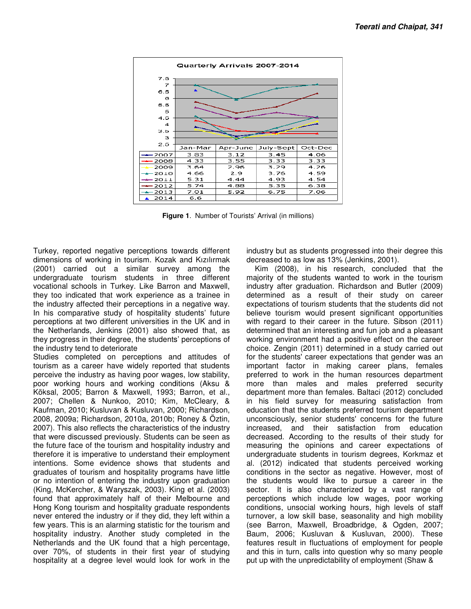

**Figure 1.** Number of Tourists' Arrival (in millions)

Turkey, reported negative perceptions towards different dimensions of working in tourism. Kozak and Kızılırmak (2001) carried out a similar survey among the undergraduate tourism students in three different vocational schools in Turkey. Like Barron and Maxwell, they too indicated that work experience as a trainee in the industry affected their perceptions in a negative way. In his comparative study of hospitality students' future perceptions at two different universities in the UK and in the Netherlands, Jenkins (2001) also showed that, as they progress in their degree, the students' perceptions of the industry tend to deteriorate Turkey, reported negative perceptions towards different dimensions of working in tourism. Kozak and Kızılırmak (2001) carried out a similar survey among the undergraduate tourism students in three different vocational scho

Studies completed on perceptions and attitudes of tourism as a career have widely reported that students perceive the industry as having poor wages, low stability, poor working hours and working conditions (Aksu & Köksal, 2005; Barron & Maxwell, 1993; Barron, et al., 2007; Chellen & Nunkoo, 2010; Kim, McCleary, & Kaufman, 2010; Kusluvan & Kusluvan, 2000; Richardson, 2008, 2009a; Richardson, 2010a, 2010b; Roney & Öztin, 2007). This also reflects the characteristics of the industry that were discussed previously. Students can be seen as the future face of the tourism and hospitality industry and therefore it is imperative to understand their employment intentions. Some evidence shows that students and graduates of tourism and hospitality progra or no intention of entering the industry upon graduation (King, McKercher, & Waryszak, 2003). King et al. (2003) found that approximately half of their Melbourne and Hong Kong tourism and hospitality graduate respondents never entered the industry or if they did, they left within a few years. This is an alarming statistic for the tourism and hospitality industry. Another study completed in the Netherlands and the UK found that a high percentage, over 70%, of students in their first year of st hospitality at a degree level would look for work in the In his comparative study of hospitality students' future<br>perceptions at two different universities in the UK and in<br>the Netherlands, Jenkins (2001) also showed that, as<br>they progress in their degree, the students' percepti or no intention of entering the industry upon graduation (King, McKercher, & Waryszak, 2003). King et al. (2003) found that approximately half of their Melbourne and Hong Kong tourism and hospitality graduate respondents n decreased to as low as 13% (Jenkins, 2001).

d negative perceptions towards different industry but as students progressed into their degree this out a similar survey among the Kim (2008), in his research, concluded that the count of totil to their survey among the Ki Kim (2008), in his research, concluded that the majority of the students wanted to work in the tourism industry after graduation. Richardson and Butler (2009) determined as a result of their study on career industry but as students progressed into their degree this decreased to as low as 13% (Jenkins, 2001).<br>
Kim (2008), in his research, concluded that the majority of the students wanted to work in the tourism<br>
industry after believe tourism would present significant opportunities with regard to their career in the future. Sibson (2011) determined that an interesting and fun job and a pleasant working environment had a positive effect on the career choice. Zengin (2011) determined in a study carried out for the students' career expectations that gender was an important factor in making career plans, females preferred to work in the human resources department more than males and males preferred security department more than females. Baltaci (2012) concluded in his field survey for measuring satisfaction from education that the students preferred tourism department unconsciously, senior students' concerns for the future increased, and their satisfaction from education decreased. According to the results of their study for measuring the opinions and career expectations of undergraduate students in tourism degrees, Korkmaz et al. (2012) indicated that students perceived working conditions in the sector as negative. However, the students would like to pursue a career in the sector. It is also characterized by a vast range of perceptions which include low wages, poor working conditions, unsocial working hours, high levels of staff turnover, a low skill base, seasonality and high mobility (see Barron, Maxwell, Broadbridge, & Ogden, 2007; Baum, 2006; Kusluvan & Kusluvan, 2000). These features result in fluctuations of employment for people and this in turn, calls into question why so many people put up with the unpredictability of employment (Shaw & believe tourism would present significant opportunities<br>with regard to their career in the future. Sibson (2011)<br>determined that an interesting and fun job and a pleasant<br>working environment had a positive effect on the ca the students would like to pursue a career in the<br>sector. It is also characterized by a vast range of<br>perceptions which include low wages, poor working<br>conditions, unsocial working hours, high levels of staff<br>turnover, a l (see Barron, Maxwell, Broadbridge, & Ogden,<br>Baum, 2006; Kusluvan & Kusluvan, 2000).<br>features result in fluctuations of employment for<br>and this in turn, calls into question why so many<br>put up with the unpredictability of em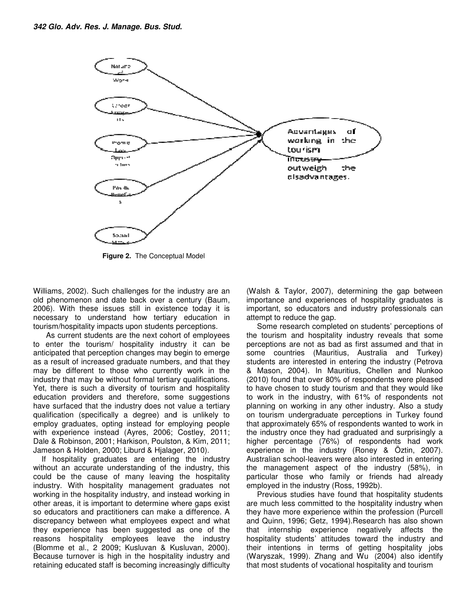

 **Figure 2.** The Conceptual Model

Williams, 2002). Such challenges for the industry are an<br>old phenomenon and date back over a century (Baum, old phenomenon and date back over a century (Bau 2006). With these issues still in existence today it is necessary to understand how tertiary education in tourism/hospitality impacts upon students perceptions.

 As current students are the next cohort of employees to enter the tourism/ hospitality industry it can be anticipated that perception changes may begin to emerge as a result of increased graduate numbers, and that they may be different to those who currently work in the industry that may be without formal tertiary qualifications. Yet, there is such a diversity of tourism and hospitality education providers and therefore, some suggestions have surfaced that the industry does not value a tertiary qualification (specifically a degree) and is unlikely to employ graduates, opting instead for employing people with experience instead (Ayres, 2006; Costley, 2011; Dale & Robinson, 2001; Harkison, Poulston, & Kim, 2011; Jameson & Holden, 2000; Liburd & Hjalager, 2010) 06). With these issues still in existence today it is<br>ressary to understand how tertiary education in<br>rism/hospitality impacts upon students perceptions.<br>As current students are the next cohort of employees<br>enter the touri that may be without formal tertiary qualifications.<br>The is such a diversity of tourism and hospitality<br>in providers and therefore, some suggestions<br>faced that the industry does not value a tertiary<br>ion (specifically a degr

 If hospitality graduates are entering the industry without an accurate understanding of the industry, this could be the cause of many leaving the hospitality industry. With hospitality management graduates not working in the hospitality industry, and instead working in other areas, it is important to determine where gaps exist so educators and practitioners can make a difference. A discrepancy between what employees expect and what they experience has been suggested as one of the reasons hospitality employees leave the industry (Blomme et al., 2 2009; Kusluvan & Kusluvan, 2000). Because turnover is high in the hospitality industry and retaining educated staff is becoming increasingly difficulty

importance and experiences of hospitality graduates is important, so educators and industry professionals can attempt to reduce the gap.

sp. 2002). Such challenges for the industry are an (Walsh & Taylor, 2007), determining the gap between say it understands can with these issues sull in existence today it is important, so educators and industry professiona Some research completed on students' perceptions of the tourism and hospitality industry reveals that some perceptions are not as bad as first assumed and that in some countries (Mauritius, Australia and Turkey) students are interested in entering the industry (Petrova & Mason, 2004). In Mauritius, Chellen and Nunkoo (2010) found that over 80% of respondents were pleased to have chosen to study tourism and that they would like to work in the industry, with 61% of respondents not planning on working in any other industry. Also a study on tourism undergraduate perceptions in Turkey found that approximately 65% of respondents the industry once they had graduated and surprisingly a higher percentage (76%) of respondents had work experience in the industry (Roney & Öztin, 2007). Australian school-leavers were also interested in entering the management aspect of the industry (58%), in particular those who family or friends had already employed in the industry (Ross employed in industry (Ross, 1992b). (Walsh & Taylor, 2007), determining the gap between<br>importance and experiences of hospitality graduates is<br>important, so educators and industry professionals can<br>attempt to reduce the gap.<br>Some research completed on studen the industry once they had graduated and surprisingly a<br>higher percentage (76%) of respondents had work<br>experience in the industry (Roney & Öztin, 2007).<br>Australian school-leavers were also interested in entering<br>the manag

 Previous studies have found that hospitality students are much less committed to the hospitality industry when they have more experience within the profession (Purcell and Quinn, 1996; Getz, 1994).Research has also shown that internship experience negatively affects the hospitality students' attitudes toward the industry and their intentions in terms of getting hospitality jobs (Waryszak, 1999). Zhang and Wu that most students of vocational hospitality and tourism Previous studies have found that hospitality students<br>are much less committed to the hospitality industry when<br>they have more experience within the profession (Purcell<br>and Quinn, 1996; Getz, 1994). Research has also shown<br>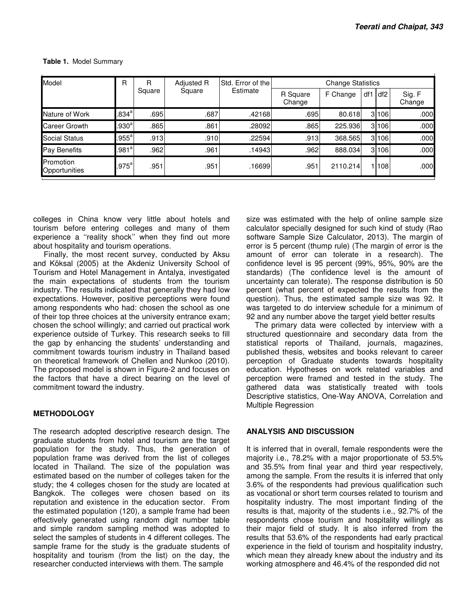| Model                      | R                 | R<br>Square | Adjusted R<br>Square | Std. Error of the<br>Estimate | <b>Change Statistics</b> |          |     |                 |                  |
|----------------------------|-------------------|-------------|----------------------|-------------------------------|--------------------------|----------|-----|-----------------|------------------|
|                            |                   |             |                      |                               | R Square<br>Change       | F Change | df1 | df <sub>2</sub> | Sig. F<br>Change |
| Nature of Work             | .834 <sup>a</sup> | .695        | .687                 | .42168                        | .695                     | 80.618   |     | 3 106           | .000             |
| Career Growth              | .930 <sup>a</sup> | .865        | .861                 | .28092                        | .865                     | 225.936  |     | 3106            | .000             |
| Social Status              | $.955^a$          | .913        | .910                 | .22594                        | .913                     | 368.565  |     | 3 106           | .000             |
| Pay Benefits               | .981 <sup>a</sup> | .962        | .961                 | ا14943.                       | .962                     | 888.034  |     | 3 106           | .000             |
| Promotion<br>Opportunities | $.975^{\text{a}}$ | .951        | .951                 | .16699                        | .951                     | 2110.214 |     | 108             | .000             |

 **Table 1.** Model Summary

colleges in China know very little about hotels and tourism before entering colleges and many of them experience a ''reality shock'' when they find out more about hospitality and tourism operations.

 Finally, the most recent survey, conducted by Aksu and Köksal (2005) at the Akdeniz University School of Tourism and Hotel Management in Antalya, investigated the main expectations of students from the tourism industry. The results indicated that generally they had low expectations. However, positive perceptions were found among respondents who had: chosen the school as one of their top three choices at the university entrance exam; chosen the school willingly; and carried out practical work experience outside of Turkey. This research seeks to fill the gap by enhancing the students' understanding and commitment towards tourism industry in Thailand based on theoretical framework of Chellen and Nunkoo (2010). The proposed model is shown in Figure-2 and focuses on the factors that have a direct bearing on the level of commitment toward the industry.

# **METHODOLOGY**

The research adopted descriptive research design. The graduate students from hotel and tourism are the target population for the study. Thus, the generation of population frame was derived from the list of colleges located in Thailand. The size of the population was estimated based on the number of colleges taken for the study; the 4 colleges chosen for the study are located at Bangkok. The colleges were chosen based on its reputation and existence in the education sector. From the estimated population (120), a sample frame had been effectively generated using random digit number table and simple random sampling method was adopted to select the samples of students in 4 different colleges. The sample frame for the study is the graduate students of hospitality and tourism (from the list) on the day, the researcher conducted interviews with them. The sample

size was estimated with the help of online sample size calculator specially designed for such kind of study (Rao software Sample Size Calculator, 2013). The margin of error is 5 percent (thump rule) (The margin of error is the amount of error can tolerate in a research). The confidence level is 95 percent (99%, 95%, 90% are the standards) (The confidence level is the amount of uncertainty can tolerate). The response distribution is 50 percent (what percent of expected the results from the question). Thus, the estimated sample size was 92. It was targeted to do interview schedule for a minimum of 92 and any number above the target yield better results

 The primary data were collected by interview with a structured questionnaire and secondary data from the statistical reports of Thailand, journals, magazines, published thesis, websites and books relevant to career perception of Graduate students towards hospitality education. Hypotheses on work related variables and perception were framed and tested in the study. The gathered data was statistically treated with tools Descriptive statistics, One-Way ANOVA, Correlation and Multiple Regression

# **ANALYSIS AND DISCUSSION**

It is inferred that in overall, female respondents were the majority i.e., 78.2% with a major proportionate of 53.5% and 35.5% from final year and third year respectively, among the sample. From the results it is inferred that only 3.6% of the respondents had previous qualification such as vocational or short term courses related to tourism and hospitality industry. The most important finding of the results is that, majority of the students i.e., 92.7% of the respondents chose tourism and hospitality willingly as their major field of study. It is also inferred from the results that 53.6% of the respondents had early practical experience in the field of tourism and hospitality industry, which mean they already knew about the industry and its working atmosphere and 46.4% of the responded did not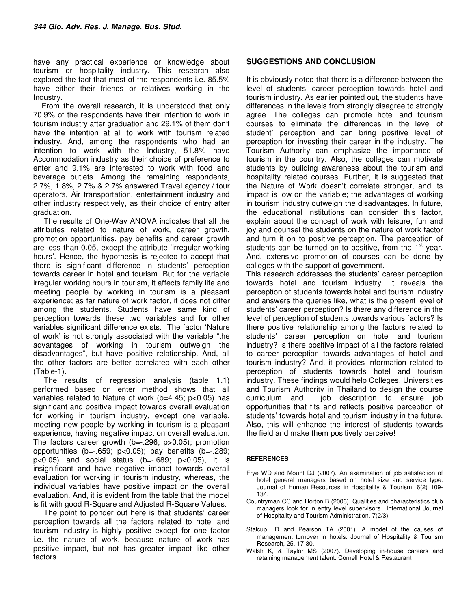have any practical experience or knowledge about tourism or hospitality industry. This research also explored the fact that most of the respondents i.e. 85.5% have either their friends or relatives working in the Industry.

 From the overall research, it is understood that only 70.9% of the respondents have their intention to work in tourism industry after graduation and 29.1% of them don't have the intention at all to work with tourism related industry. And, among the respondents who had an intention to work with the Industry, 51.8% have Accommodation industry as their choice of preference to enter and 9.1% are interested to work with food and beverage outlets. Among the remaining respondents, 2.7%, 1.8%, 2.7% & 2.7% answered Travel agency / tour operators, Air transportation, entertainment industry and other industry respectively, as their choice of entry after graduation.

 The results of One-Way ANOVA indicates that all the attributes related to nature of work, career growth, promotion opportunities, pay benefits and career growth are less than 0.05, except the attribute 'irregular working hours'. Hence, the hypothesis is rejected to accept that there is significant difference in students' perception towards career in hotel and tourism. But for the variable irregular working hours in tourism, it affects family life and meeting people by working in tourism is a pleasant experience; as far nature of work factor, it does not differ among the students. Students have same kind of perception towards these two variables and for other variables significant difference exists. The factor 'Nature of work' is not strongly associated with the variable "the advantages of working in tourism outweigh the disadvantages", but have positive relationship. And, all the other factors are better correlated with each other (Table-1).

 The results of regression analysis (table 1.1) performed based on enter method shows that all variables related to Nature of work (b=4.45; p<0.05) has significant and positive impact towards overall evaluation for working in tourism industry, except one variable, meeting new people by working in tourism is a pleasant experience, having negative impact on overall evaluation. The factors career growth (b=-.296; p>0.05); promotion opportunities  $(b=-.659; p<0.05)$ ; pay benefits  $(b=-.289;$  $p < 0.05$ ) and social status (b= $-0.689$ ;  $p < 0.05$ ), it is insignificant and have negative impact towards overall evaluation for working in tourism industry, whereas, the individual variables have positive impact on the overall evaluation. And, it is evident from the table that the model is fit with good R-Square and Adjusted R-Square Values.

 The point to ponder out here is that students' career perception towards all the factors related to hotel and tourism industry is highly positive except for one factor i.e. the nature of work, because nature of work has positive impact, but not has greater impact like other factors.

# **SUGGESTIONS AND CONCLUSION**

It is obviously noted that there is a difference between the level of students' career perception towards hotel and tourism industry. As earlier pointed out, the students have differences in the levels from strongly disagree to strongly agree. The colleges can promote hotel and tourism courses to eliminate the differences in the level of student' perception and can bring positive level of perception for investing their career in the industry. The Tourism Authority can emphasize the importance of tourism in the country. Also, the colleges can motivate students by building awareness about the tourism and hospitality related courses. Further, it is suggested that the Nature of Work doesn't correlate stronger, and its impact is low on the variable; the advantages of working in tourism industry outweigh the disadvantages. In future, the educational institutions can consider this factor, explain about the concept of work with leisure, fun and joy and counsel the students on the nature of work factor and turn it on to positive perception. The perception of students can be turned on to positive, from the  $1<sup>st</sup>$  year. And, extensive promotion of courses can be done by colleges with the support of government.

This research addresses the students' career perception towards hotel and tourism industry. It reveals the perception of students towards hotel and tourism industry and answers the queries like, what is the present level of students' career perception? Is there any difference in the level of perception of students towards various factors? Is there positive relationship among the factors related to students' career perception on hotel and tourism industry? Is there positive impact of all the factors related to career perception towards advantages of hotel and tourism industry? And, it provides information related to perception of students towards hotel and tourism industry. These findings would help Colleges, Universities and Tourism Authority in Thailand to design the course curriculum and job description to ensure job opportunities that fits and reflects positive perception of students' towards hotel and tourism industry in the future. Also, this will enhance the interest of students towards the field and make them positively perceive!

#### **REFERENCES**

- Frye WD and Mount DJ (2007). An examination of job satisfaction of hotel general managers based on hotel size and service type. Journal of Human Resources in Hospitality & Tourism, 6(2) 109- 134.
- Countryman CC and Horton B (2006). Qualities and characteristics club managers look for in entry level supervisors. International Journal of Hospitality and Tourism Administration, 7(2/3).
- Stalcup LD and Pearson TA (2001). A model of the causes of management turnover in hotels. Journal of Hospitality & Tourism Research, 25, 17-30.
- Walsh K, & Taylor MS (2007). Developing in-house careers and retaining management talent. Cornell Hotel & Restaurant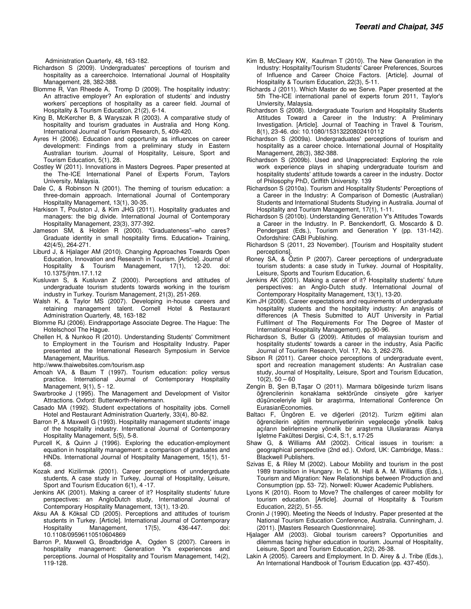- Richardson S (2009). Undergraduates' perceptions of tourism and hospitality as a careerchoice. International Journal of Hospitality Management, 28, 382-388.
- Blomme R, Van Rheede A, Tromp D (2009). The hospitality industry: An attractive employer? An exploration of students' and industry workers' perceptions of hospitality as a career field. Journal of Hospitality & Tourism Education, 21(2), 6-14.
- King B, McKercher B, & Waryszak R (2003). A comparative study of hospitality and tourism graduates in Australia and Hong Kong. International Journal of Tourism Research, 5, 409-420.
- Ayres H (2006). Education and opportunity as influences on career development: Findings from a preliminary study in Eastern Australian tourism. Journal of Hospitality, Leisure, Sport and Tourism Education, 5(1), 28.
- Costley W (2011). Innovations in Masters Degrees. Paper presented at the The-ICE International Panel of Experts Forum, Taylors University, Malaysia.
- Dale C, & Robinson N (2001). The theming of tourism education: a three-domain approach. International Journal of Contemporary Hospitality Management, 13(1), 30-35.
- Harkison T, Poulston J, & Kim JHG (2011). Hospitality graduates and managers: the big divide. International Journal of Contemporary Hospitality Management, 23(3), 377-392.
- Jameson SM, & Holden R (2000). "Graduateness"–who cares? Graduate identity in small hospitality firms. Education+ Training, 42(4/5), 264-271.
- Liburd J, & Hjalager AM (2010). Changing Approaches Towards Open Education, Innovation and Research in Tourism. [Article]. Journal of Hospitality & Tourism Management, 17(1), 12-20. doi: 10.1375/jhtm.17.1.12
- Kusluvan S, & Kusluvan Z (2000). Perceptions and attitudes of undergraduate tourism students towards working in the tourism industry in Turkey. Tourism Management, 21(3), 251-269.
- Walsh K, & Taylor MS (2007). Developing in-house careers and retaining management talent. Cornell Hotel & Restaurant Administration Quarterly, 48, 163-182
- Blomme RJ (2006). Eindrapportage Associate Degree. The Hague: The Hotelschool The Hague.
- Chellen H, & Nunkoo R (2010). Understanding Students' Commitment to Employment in the Tourism and Hospitality Industry. Paper presented at the International Research Symposium in Service Management, Mauritius.
- http://www.thaiwebsites.com/tourism.asp
- Amoah VA, & Baum T (1997). Tourism education: policy versus practice. International Journal of Contemporary Hospitality Management, 9(1), 5 - 12.
- Swarbrooke J (1995). The Management and Development of Visitor Attractions. Oxford: Butterworth-Heinemann.
- Casado MA (1992). Student expectations of hospitality jobs. Cornell Hotel and Restaurant Administration Quarterly, 33(4), 80-82.
- Barron P, & Maxwell G (1993). Hospitality management students' image of the hospitality industry. International Journal of Contemporary Hospitality Management, 5(5), 5-8.
- Purcell K, & Quinn J (1996). Exploring the education-employment equation in hospitality management: a comparison of graduates and HNDs. International Journal of Hospitality Management, 15(1), 51- 68.
- Kozak and Kizilirmak (2001). Career perceptions of unndergrduate students, A case study in Turkey, Journal of Hospitality, Leisure, Sport and Tourism Education 6(1), 4 -17.
- Jenkins AK (2001). Making a career of it? Hospitality students' future perspectives: an AngloDutch study, International Journal of Contemporary Hospitality Management, 13(1), 13-20.
- Aksu AA & Köksal CD (2005). Perceptions and attitudes of tourism students in Turkey. [Article]. International Journal of Contemporary Hospitality Management, 17(5), 436-447. doi: 10.1108/09596110510604869
- Barron P, Maxwell G, Broadbridge A, Ogden S (2007). Careers in hospitality management: Generation Y's experiences and perceptions. Journal of Hospitality and Tourism Management, 14(2), 119-128.
- Kim B, McCleary KW, Kaufman T (2010). The New Generation in the Industry: Hospitality/Tourism Students' Career Preferences, Sources of Influence and Career Choice Factors. [Article]. Journal of Hospitality & Tourism Education, 22(3), 5-11.
- Richards J (2011). Which Master do we Serve. Paper presented at the 5th The-ICE international panel of experts forum 2011, Taylor's Unviersity, Malaysia.
- Richardson S (2008). Undergraduate Tourism and Hospitality Students Attitudes Toward a Career in the Industry: A Preliminary Investigation. [Article]. Journal of Teaching in Travel & Tourism, 8(1), 23-46. doi: 10.1080/15313220802410112
- Richardson S (2009a). Undergraduates' perceptions of tourism and hospitality as a career choice. International Journal of Hospitality Management, 28(3), 382-388.
- Richardson S (2009b). Used and Unappreciated: Exploring the role work experience plays in shaping undergraduate tourism and hospitality students' attitude towards a career in the industry. Doctor of Philosophy PhD, Griffith University. 139
- Richardson S (2010a). Tourism and Hospitality Students' Perceptions of a Career in the Industry: A Comparison of Domestic (Australian) Students and International Students Studying in Australia. Journal of Hospitality and Tourism Management, 17(1), 1-11.
- Richardson S (2010b). Understanding Generation Y's Attitudes Towards a Career in the Industry. In P. Benckendorff, G. Moscardo & D. Pendergast (Eds.), Tourism and Generation Y (pp. 131-142). Oxfordshire: CABI Publishing.
- Richardson S (2011, 23 November). [Tourism and Hospitality student perceptions].
- Roney SA, & Öztin P (2007). Career perceptions of undergraduate tourism students: a case study in Turkey. Journal of Hospitality, Leisure, Sports and Tourism Education, 6.
- Jenkins AK (2001). Making a career of it? Hospitality students' future perspectives: an Anglo-Dutch study. International Journal of Contemporary Hospitality Management, 13(1), 13-20.
- Kim JH (2008). Career expectations and requirements of undergraduate hospitality students and the hospitality industry: An analysis of differences (A Thesis Submitted to AUT University in Partial Fulfilment of The Requirements For The Degree of Master of International Hospitality Management), pp.90-96.
- Richardson S, Butler G (2009). Attitudes of malaysian tourism and hospitality students' towards a career in the industry, Asia Pacific Journal of Tourism Research, Vol. 17, No. 3, 262-276.
- Sibson R (2011). Career choice perceptions of undergraduate event, sport and recreation management students: An Australian case study, Journal of Hospitality, Leisure, Sport and Tourism Education,  $10(2)$ ,  $50 - 60$
- Zengin B, Şen B,Taşar O (2011). Marmara bölgesinde turizm lisans öğrencilerinin konaklama sektöründe cinsiyete göre kariyer düşünceleriyle ilgili bir araştırma, International Conference On EurasianEconomies.
- Baltacı F, Üngören E. ve diğerleri (2012). Turizm eğitimi alan öğrencilerin eğitim memnuniyetlerinin vegeleceğe yönelik bakış açıların belirlemesine yönelik bir araştırma Uluslararası Alanya İşletme Fakültesi Dergisi, C:4, S:1, s.17-25
- Shaw G, & Williams AM (2002). Critical issues in tourism: a geographical perspective (2nd ed.). Oxford, UK: Cambridge, Mass.: Blackwell Publishers.
- Szivas E, & Riley M (2002). Labour Mobility and tourism in the post 1989 tranisition in Hungary. In C. M. Hall & A. M. Williams (Eds.), Tourism and Migration: New Relationships between Production and Consumption (pp. 53- 72). Norwell: Kluwer Academic Publishers.
- Lyons K (2010). Room to Move? The challenges of career mobility for tourism education. [Article]. Journal of Hospitality & Tourism Education, 22(2), 51-55.
- Cronin J (1990). Meeting the Needs of Industry. Paper presented at the National Tourism Education Conference, Australia. Cunningham, J. (2011). [Masters Research Questionnnaire].
- Hjalager AM (2003). Global tourism careers? Opportunities and dilemmas facing higher education in tourism. Journal of Hospitality, Leisure, Sport and Tourism Education, 2(2), 26-38.
- Lakin A (2005). Careers and Employment. In D. Airey & J. Tribe (Eds.), An International Handbook of Tourism Education (pp. 437-450).